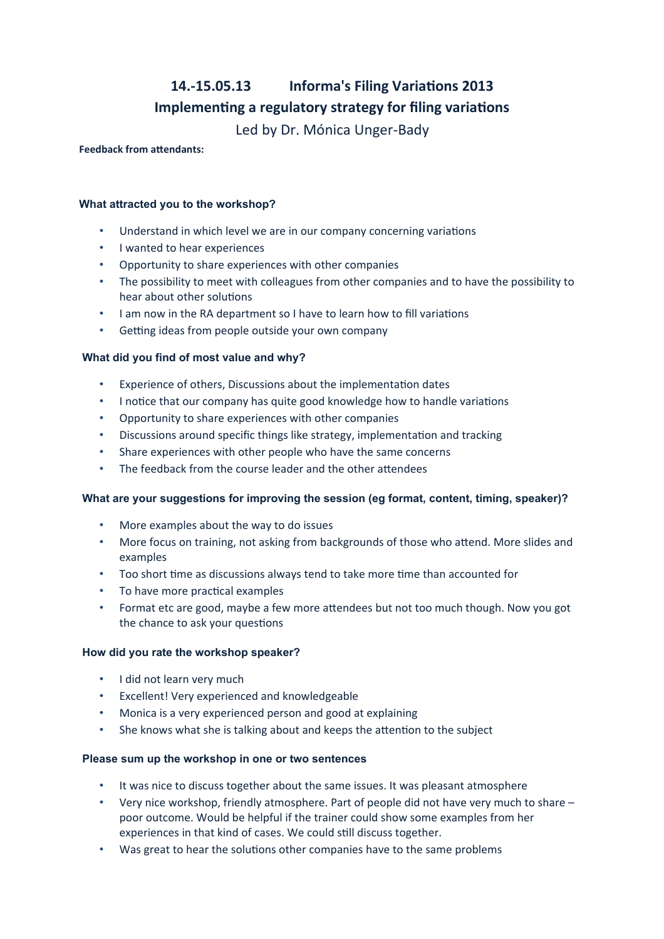# **14.-15.05.13 Informa's Filing Variations 2013 Implementing a regulatory strategy for filing variations** Led by Dr. Mónica Unger-Bady

**Feedback from attendants:**

## **What attracted you to the workshop?**

- Understand in which level we are in our company concerning variations
- I wanted to hear experiences
- Opportunity to share experiences with other companies
- The possibility to meet with colleagues from other companies and to have the possibility to hear about other solutions
- I am now in the RA department so I have to learn how to fill variations
- Getting ideas from people outside your own company

### **What did you find of most value and why?**

- Experience of others, Discussions about the implementation dates
- I notice that our company has quite good knowledge how to handle variations
- Opportunity to share experiences with other companies
- Discussions around specific things like strategy, implementation and tracking
- Share experiences with other people who have the same concerns
- The feedback from the course leader and the other attendees

### **What are your suggestions for improving the session (eg format, content, timing, speaker)?**

- More examples about the way to do issues
- More focus on training, not asking from backgrounds of those who attend. More slides and examples
- Too short time as discussions always tend to take more time than accounted for
- To have more practical examples
- Format etc are good, maybe a few more attendees but not too much though. Now you got the chance to ask your questions

### **How did you rate the workshop speaker?**

- I did not learn very much
- Excellent! Very experienced and knowledgeable
- Monica is a very experienced person and good at explaining
- She knows what she is talking about and keeps the attention to the subject

### **Please sum up the workshop in one or two sentences**

- It was nice to discuss together about the same issues. It was pleasant atmosphere
- Very nice workshop, friendly atmosphere. Part of people did not have very much to share poor outcome. Would be helpful if the trainer could show some examples from her experiences in that kind of cases. We could still discuss together.
- Was great to hear the solutions other companies have to the same problems